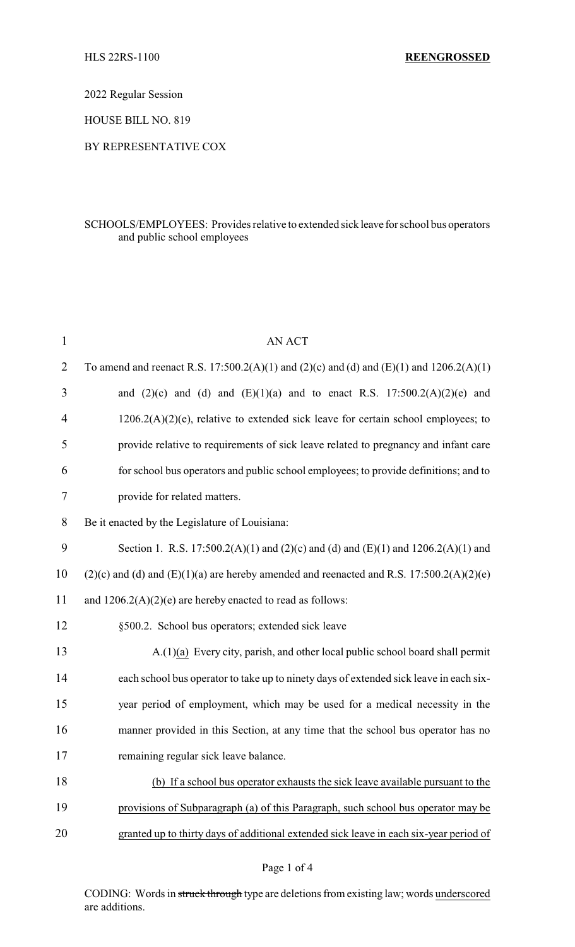2022 Regular Session

HOUSE BILL NO. 819

## BY REPRESENTATIVE COX

## SCHOOLS/EMPLOYEES: Provides relative to extended sick leave for school bus operators and public school employees

| $\mathbf{1}$   | <b>AN ACT</b>                                                                                |
|----------------|----------------------------------------------------------------------------------------------|
| $\overline{2}$ | To amend and reenact R.S. 17:500.2(A)(1) and (2)(c) and (d) and (E)(1) and 1206.2(A)(1)      |
| 3              | and $(2)(c)$ and $(d)$ and $(E)(1)(a)$ and to enact R.S. 17:500.2(A)(2)(e) and               |
| 4              | $1206.2(A)(2)(e)$ , relative to extended sick leave for certain school employees; to         |
| 5              | provide relative to requirements of sick leave related to pregnancy and infant care          |
| 6              | for school bus operators and public school employees; to provide definitions; and to         |
| 7              | provide for related matters.                                                                 |
| 8              | Be it enacted by the Legislature of Louisiana:                                               |
| 9              | Section 1. R.S. 17:500.2(A)(1) and (2)(c) and (d) and (E)(1) and 1206.2(A)(1) and            |
| 10             | $(2)(c)$ and (d) and $(E)(1)(a)$ are hereby amended and reenacted and R.S. 17:500.2(A)(2)(e) |
| 11             | and $1206.2(A)(2)(e)$ are hereby enacted to read as follows:                                 |
| 12             | §500.2. School bus operators; extended sick leave                                            |
| 13             | A.(1)(a) Every city, parish, and other local public school board shall permit                |
| 14             | each school bus operator to take up to ninety days of extended sick leave in each six-       |
| 15             | year period of employment, which may be used for a medical necessity in the                  |
| 16             | manner provided in this Section, at any time that the school bus operator has no             |
| 17             | remaining regular sick leave balance.                                                        |
| 18             | (b) If a school bus operator exhausts the sick leave available pursuant to the               |
| 19             | provisions of Subparagraph (a) of this Paragraph, such school bus operator may be            |
| 20             | granted up to thirty days of additional extended sick leave in each six-year period of       |
|                |                                                                                              |

## Page 1 of 4

CODING: Words in struck through type are deletions from existing law; words underscored are additions.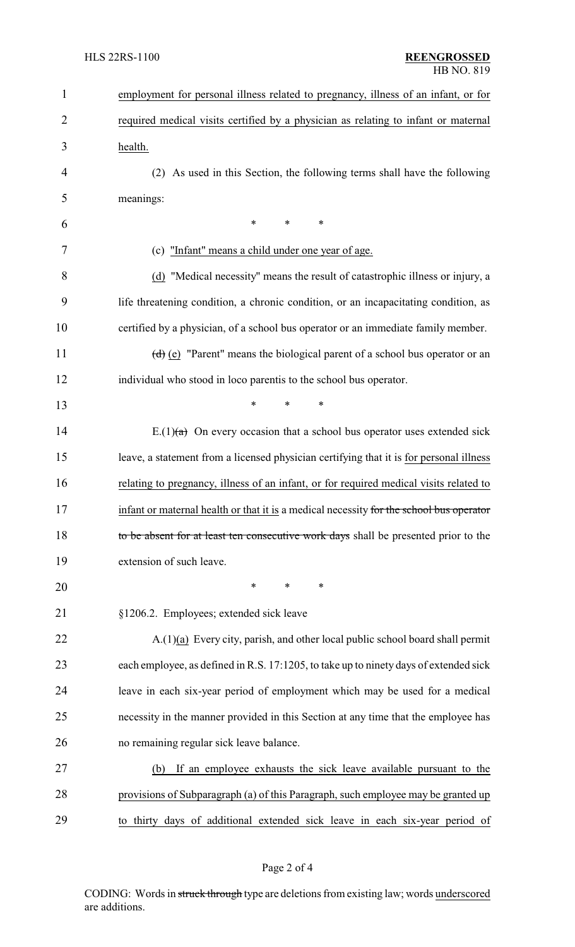| $\mathbf{1}$   | employment for personal illness related to pregnancy, illness of an infant, or for      |
|----------------|-----------------------------------------------------------------------------------------|
| $\overline{2}$ | required medical visits certified by a physician as relating to infant or maternal      |
| 3              | health.                                                                                 |
| 4              | (2) As used in this Section, the following terms shall have the following               |
| 5              | meanings:                                                                               |
| 6              | $\ast$<br>$\ast$<br>*                                                                   |
| 7              | (c) "Infant" means a child under one year of age.                                       |
| 8              | (d) "Medical necessity" means the result of catastrophic illness or injury, a           |
| 9              | life threatening condition, a chronic condition, or an incapacitating condition, as     |
| 10             | certified by a physician, of a school bus operator or an immediate family member.       |
| 11             | (d) (e) "Parent" means the biological parent of a school bus operator or an             |
| 12             | individual who stood in loco parentis to the school bus operator.                       |
| 13             | *<br>*<br>$\ast$                                                                        |
| 14             | E.(1) $(a)$ On every occasion that a school bus operator uses extended sick             |
| 15             | leave, a statement from a licensed physician certifying that it is for personal illness |
| 16             | relating to pregnancy, illness of an infant, or for required medical visits related to  |
| 17             | infant or maternal health or that it is a medical necessity for the school bus operator |
| 18             | to be absent for at least ten consecutive work days shall be presented prior to the     |
| 19             | extension of such leave.                                                                |
| 20             | $\ast$<br>$\ast$<br>∗                                                                   |
| 21             | §1206.2. Employees; extended sick leave                                                 |
| 22             | $A(1)(a)$ Every city, parish, and other local public school board shall permit          |
| 23             | each employee, as defined in R.S. 17:1205, to take up to ninety days of extended sick   |
| 24             | leave in each six-year period of employment which may be used for a medical             |
| 25             | necessity in the manner provided in this Section at any time that the employee has      |
| 26             | no remaining regular sick leave balance.                                                |
| 27             | If an employee exhausts the sick leave available pursuant to the<br>(b)                 |
| 28             | provisions of Subparagraph (a) of this Paragraph, such employee may be granted up       |
| 29             | to thirty days of additional extended sick leave in each six-year period of             |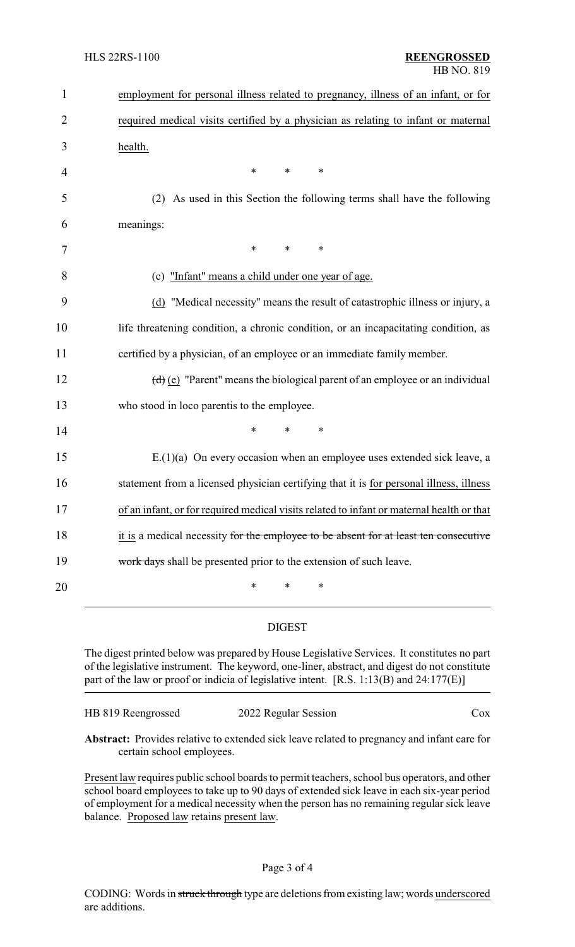| 1              | employment for personal illness related to pregnancy, illness of an infant, or for                                      |
|----------------|-------------------------------------------------------------------------------------------------------------------------|
| $\overline{2}$ | required medical visits certified by a physician as relating to infant or maternal                                      |
| 3              | health.                                                                                                                 |
| 4              | *<br>∗<br>$\ast$                                                                                                        |
| 5              | (2) As used in this Section the following terms shall have the following                                                |
| 6              | meanings:                                                                                                               |
| 7              | $\ast$<br>*<br>$\ast$                                                                                                   |
| 8              | (c) "Infant" means a child under one year of age.                                                                       |
| 9              | (d) "Medical necessity" means the result of catastrophic illness or injury, a                                           |
| 10             | life threatening condition, a chronic condition, or an incapacitating condition, as                                     |
| 11             | certified by a physician, of an employee or an immediate family member.                                                 |
| 12             | $\left(\frac{d}{d}\right)\left(\frac{e}{e}\right)$ "Parent" means the biological parent of an employee or an individual |
| 13             | who stood in loco parentis to the employee.                                                                             |
| 14             | *<br>∗                                                                                                                  |
| 15             | $E(1)(a)$ On every occasion when an employee uses extended sick leave, a                                                |
| 16             | statement from a licensed physician certifying that it is for personal illness, illness                                 |
| 17             | of an infant, or for required medical visits related to infant or maternal health or that                               |
| 18             | it is a medical necessity for the employee to be absent for at least ten consecutive                                    |
| 19             | work days shall be presented prior to the extension of such leave.                                                      |
| 20             | *<br>*<br>∗                                                                                                             |

## DIGEST

The digest printed below was prepared by House Legislative Services. It constitutes no part of the legislative instrument. The keyword, one-liner, abstract, and digest do not constitute part of the law or proof or indicia of legislative intent. [R.S. 1:13(B) and 24:177(E)]

| HB 819 Reengrossed | 2022 Regular Session | Cox |
|--------------------|----------------------|-----|
|                    |                      |     |

**Abstract:** Provides relative to extended sick leave related to pregnancy and infant care for certain school employees.

Present law requires public school boards to permit teachers, school bus operators, and other school board employees to take up to 90 days of extended sick leave in each six-year period of employment for a medical necessity when the person has no remaining regular sick leave balance. Proposed law retains present law.